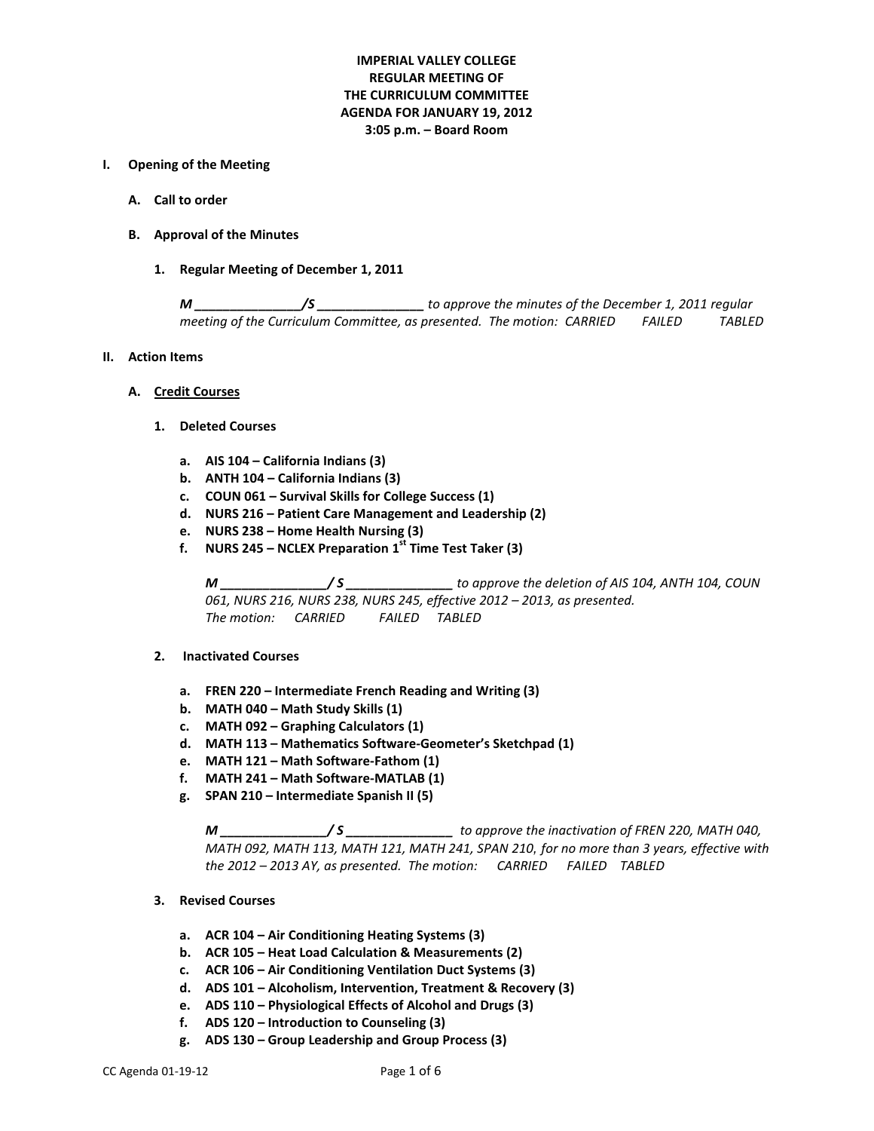# **IMPERIAL VALLEY COLLEGE REGULAR MEETING OF THE CURRICULUM COMMITTEE AGENDA FOR JANUARY 19, 2012 3:05 p.m. – Board Room**

#### **I. Opening of the Meeting**

- **A. Call to order**
- **B. Approval of the Minutes**
	- **1. Regular Meeting of December 1, 2011**

*M \_\_\_\_\_\_\_\_\_\_\_\_\_\_\_/S \_\_\_\_\_\_\_\_\_\_\_\_\_\_\_ to approve the minutes of the December 1, 2011 regular meeting of the Curriculum Committee, as presented. The motion: CARRIED FAILED TABLED*

#### **II. Action Items**

- **A. Credit Courses**
	- **1. Deleted Courses**
		- **a. AIS 104 – California Indians (3)**
		- **b. ANTH 104 – California Indians (3)**
		- **c. COUN 061 – Survival Skills for College Success (1)**
		- **d. NURS 216 – Patient Care Management and Leadership (2)**
		- **e. NURS 238 – Home Health Nursing (3)**
		- **f. NURS 245 – NCLEX Preparation 1st Time Test Taker (3)**

*M \_\_\_\_\_\_\_\_\_\_\_\_\_\_\_/ S \_\_\_\_\_\_\_\_\_\_\_\_\_\_\_ to approve the deletion of AIS 104, ANTH 104, COUN 061, NURS 216, NURS 238, NURS 245, effective 2012 – 2013, as presented. The motion: CARRIED FAILED TABLED*

- **2. Inactivated Courses** 
	- **a. FREN 220 – Intermediate French Reading and Writing (3)**
	- **b. MATH 040 – Math Study Skills (1)**
	- **c. MATH 092 – Graphing Calculators (1)**
	- **d. MATH 113 – Mathematics Software-Geometer's Sketchpad (1)**
	- **e. MATH 121 – Math Software-Fathom (1)**
	- **f. MATH 241 – Math Software-MATLAB (1)**
	- **g. SPAN 210 – Intermediate Spanish II (5)**

*M \_\_\_\_\_\_\_\_\_\_\_\_\_\_\_/ S \_\_\_\_\_\_\_\_\_\_\_\_\_\_\_ to approve the inactivation of FREN 220, MATH 040, MATH 092, MATH 113, MATH 121, MATH 241, SPAN 210, for no more than 3 years, effective with the 2012 – 2013 AY, as presented. The motion: CARRIED FAILED TABLED*

- **3. Revised Courses**
	- **a. ACR 104 – Air Conditioning Heating Systems (3)**
	- **b. ACR 105 – Heat Load Calculation & Measurements (2)**
	- **c. ACR 106 – Air Conditioning Ventilation Duct Systems (3)**
	- **d. ADS 101 – Alcoholism, Intervention, Treatment & Recovery (3)**
	- **e. ADS 110 – Physiological Effects of Alcohol and Drugs (3)**
	- **f. ADS 120 – Introduction to Counseling (3)**
	- **g. ADS 130 – Group Leadership and Group Process (3)**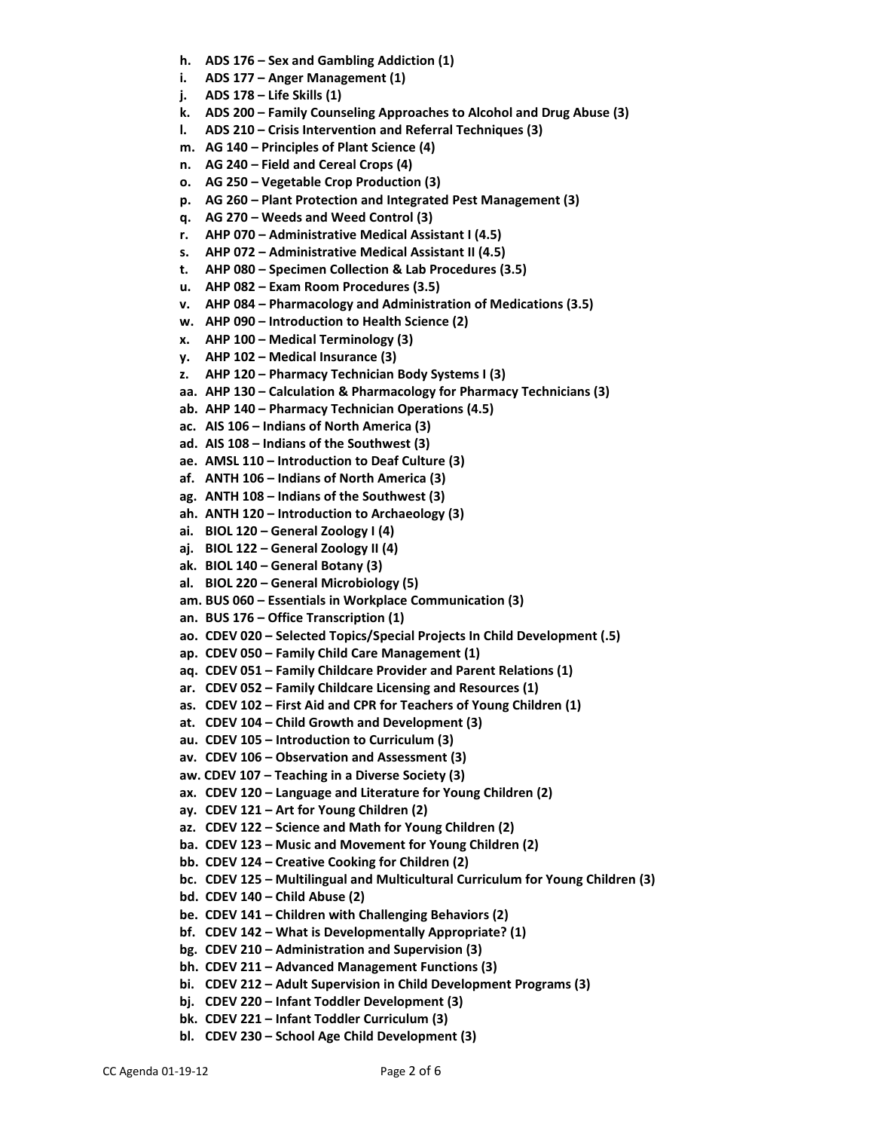- **h. ADS 176 – Sex and Gambling Addiction (1)**
- **i. ADS 177 – Anger Management (1)**
- **j. ADS 178 – Life Skills (1)**
- **k. ADS 200 – Family Counseling Approaches to Alcohol and Drug Abuse (3)**
- **l. ADS 210 – Crisis Intervention and Referral Techniques (3)**
- **m. AG 140 – Principles of Plant Science (4)**
- **n. AG 240 – Field and Cereal Crops (4)**
- **o. AG 250 – Vegetable Crop Production (3)**
- **p. AG 260 – Plant Protection and Integrated Pest Management (3)**
- **q. AG 270 – Weeds and Weed Control (3)**
- **r. AHP 070 – Administrative Medical Assistant I (4.5)**
- **s. AHP 072 – Administrative Medical Assistant II (4.5)**
- **t. AHP 080 – Specimen Collection & Lab Procedures (3.5)**
- **u. AHP 082 – Exam Room Procedures (3.5)**
- **v. AHP 084 – Pharmacology and Administration of Medications (3.5)**
- **w. AHP 090 – Introduction to Health Science (2)**
- **x. AHP 100 – Medical Terminology (3)**
- **y. AHP 102 – Medical Insurance (3)**
- **z. AHP 120 – Pharmacy Technician Body Systems I (3)**
- **aa. AHP 130 – Calculation & Pharmacology for Pharmacy Technicians (3)**
- **ab. AHP 140 – Pharmacy Technician Operations (4.5)**
- **ac. AIS 106 – Indians of North America (3)**
- **ad. AIS 108 – Indians of the Southwest (3)**
- **ae. AMSL 110 – Introduction to Deaf Culture (3)**
- **af. ANTH 106 – Indians of North America (3)**
- **ag. ANTH 108 – Indians of the Southwest (3)**
- **ah. ANTH 120 – Introduction to Archaeology (3)**
- **ai. BIOL 120 – General Zoology I (4)**
- **aj. BIOL 122 – General Zoology II (4)**
- **ak. BIOL 140 – General Botany (3)**
- **al. BIOL 220 – General Microbiology (5)**
- **am. BUS 060 – Essentials in Workplace Communication (3)**
- **an. BUS 176 – Office Transcription (1)**
- **ao. CDEV 020 – Selected Topics/Special Projects In Child Development (.5)**
- **ap. CDEV 050 – Family Child Care Management (1)**
- **aq. CDEV 051 – Family Childcare Provider and Parent Relations (1)**
- **ar. CDEV 052 – Family Childcare Licensing and Resources (1)**
- **as. CDEV 102 – First Aid and CPR for Teachers of Young Children (1)**
- **at. CDEV 104 – Child Growth and Development (3)**
- **au. CDEV 105 – Introduction to Curriculum (3)**
- **av. CDEV 106 – Observation and Assessment (3)**
- **aw. CDEV 107 – Teaching in a Diverse Society (3)**
- **ax. CDEV 120 – Language and Literature for Young Children (2)**
- **ay. CDEV 121 – Art for Young Children (2)**
- **az. CDEV 122 – Science and Math for Young Children (2)**
- **ba. CDEV 123 – Music and Movement for Young Children (2)**
- **bb. CDEV 124 – Creative Cooking for Children (2)**
- **bc. CDEV 125 – Multilingual and Multicultural Curriculum for Young Children (3)**
- **bd. CDEV 140 – Child Abuse (2)**
- **be. CDEV 141 – Children with Challenging Behaviors (2)**
- **bf. CDEV 142 – What is Developmentally Appropriate? (1)**
- **bg. CDEV 210 – Administration and Supervision (3)**
- **bh. CDEV 211 – Advanced Management Functions (3)**
- **bi. CDEV 212 – Adult Supervision in Child Development Programs (3)**
- **bj. CDEV 220 – Infant Toddler Development (3)**
- **bk. CDEV 221 – Infant Toddler Curriculum (3)**
- **bl. CDEV 230 – School Age Child Development (3)**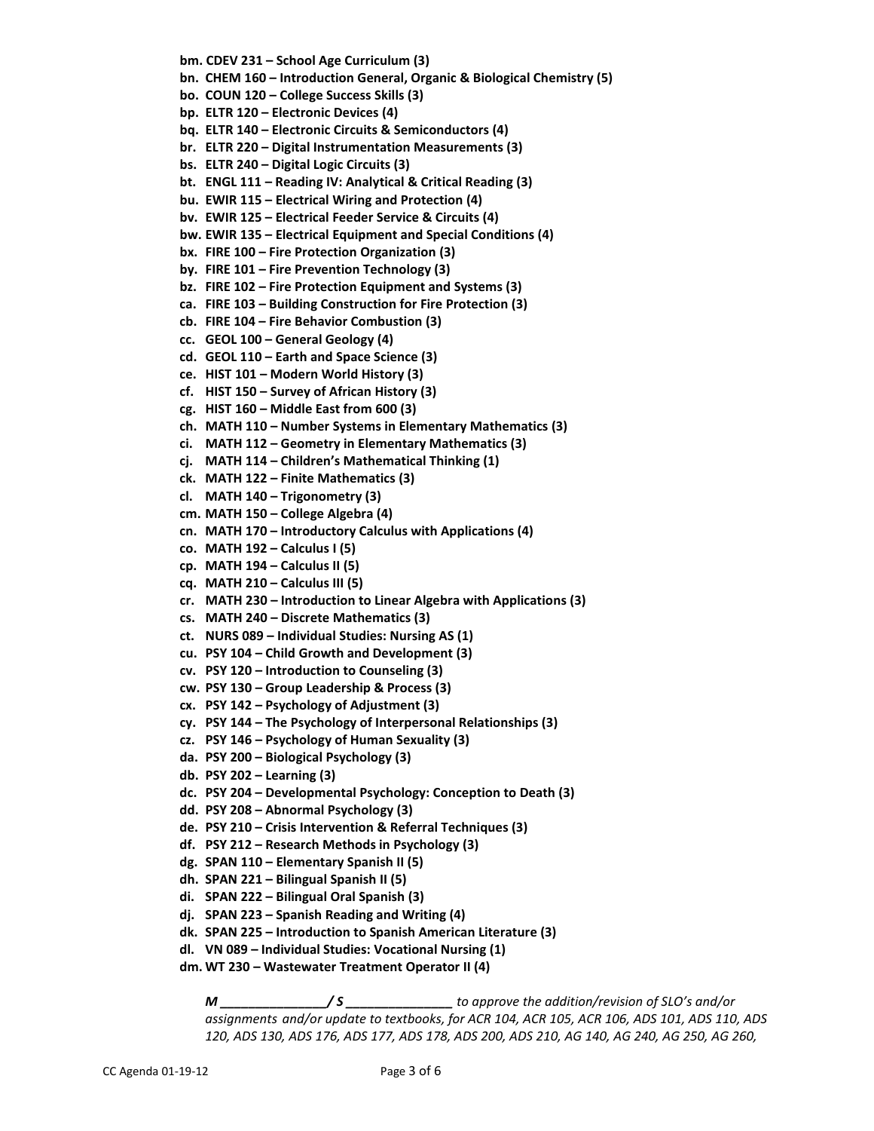**bm. CDEV 231 – School Age Curriculum (3) bn. CHEM 160 – Introduction General, Organic & Biological Chemistry (5) bo. COUN 120 – College Success Skills (3) bp. ELTR 120 – Electronic Devices (4) bq. ELTR 140 – Electronic Circuits & Semiconductors (4) br. ELTR 220 – Digital Instrumentation Measurements (3) bs. ELTR 240 – Digital Logic Circuits (3) bt. ENGL 111 – Reading IV: Analytical & Critical Reading (3) bu. EWIR 115 – Electrical Wiring and Protection (4) bv. EWIR 125 – Electrical Feeder Service & Circuits (4) bw. EWIR 135 – Electrical Equipment and Special Conditions (4) bx. FIRE 100 – Fire Protection Organization (3) by. FIRE 101 – Fire Prevention Technology (3) bz. FIRE 102 – Fire Protection Equipment and Systems (3) ca. FIRE 103 – Building Construction for Fire Protection (3) cb. FIRE 104 – Fire Behavior Combustion (3) cc. GEOL 100 – General Geology (4) cd. GEOL 110 – Earth and Space Science (3) ce. HIST 101 – Modern World History (3) cf. HIST 150 – Survey of African History (3) cg. HIST 160 – Middle East from 600 (3) ch. MATH 110 – Number Systems in Elementary Mathematics (3) ci. MATH 112 – Geometry in Elementary Mathematics (3) cj. MATH 114 – Children's Mathematical Thinking (1) ck. MATH 122 – Finite Mathematics (3) cl. MATH 140 – Trigonometry (3) cm. MATH 150 – College Algebra (4) cn. MATH 170 – Introductory Calculus with Applications (4) co. MATH 192 – Calculus I (5) cp. MATH 194 – Calculus II (5) cq. MATH 210 – Calculus III (5) cr. MATH 230 – Introduction to Linear Algebra with Applications (3) cs. MATH 240 – Discrete Mathematics (3) ct. NURS 089 – Individual Studies: Nursing AS (1) cu. PSY 104 – Child Growth and Development (3) cv. PSY 120 – Introduction to Counseling (3) cw. PSY 130 – Group Leadership & Process (3) cx. PSY 142 – Psychology of Adjustment (3) cy. PSY 144 – The Psychology of Interpersonal Relationships (3) cz. PSY 146 – Psychology of Human Sexuality (3) da. PSY 200 – Biological Psychology (3) db. PSY 202 – Learning (3) dc. PSY 204 – Developmental Psychology: Conception to Death (3) dd. PSY 208 – Abnormal Psychology (3) de. PSY 210 – Crisis Intervention & Referral Techniques (3) df. PSY 212 – Research Methods in Psychology (3) dg. SPAN 110 – Elementary Spanish II (5) dh. SPAN 221 – Bilingual Spanish II (5) di. SPAN 222 – Bilingual Oral Spanish (3) dj. SPAN 223 – Spanish Reading and Writing (4) dk. SPAN 225 – Introduction to Spanish American Literature (3) dl. VN 089 – Individual Studies: Vocational Nursing (1) dm. WT 230 – Wastewater Treatment Operator II (4)**

*M \_\_\_\_\_\_\_\_\_\_\_\_\_\_\_/ S \_\_\_\_\_\_\_\_\_\_\_\_\_\_\_ to approve the addition/revision of SLO's and/or assignments and/or update to textbooks, for ACR 104, ACR 105, ACR 106, ADS 101, ADS 110, ADS 120, ADS 130, ADS 176, ADS 177, ADS 178, ADS 200, ADS 210, AG 140, AG 240, AG 250, AG 260,*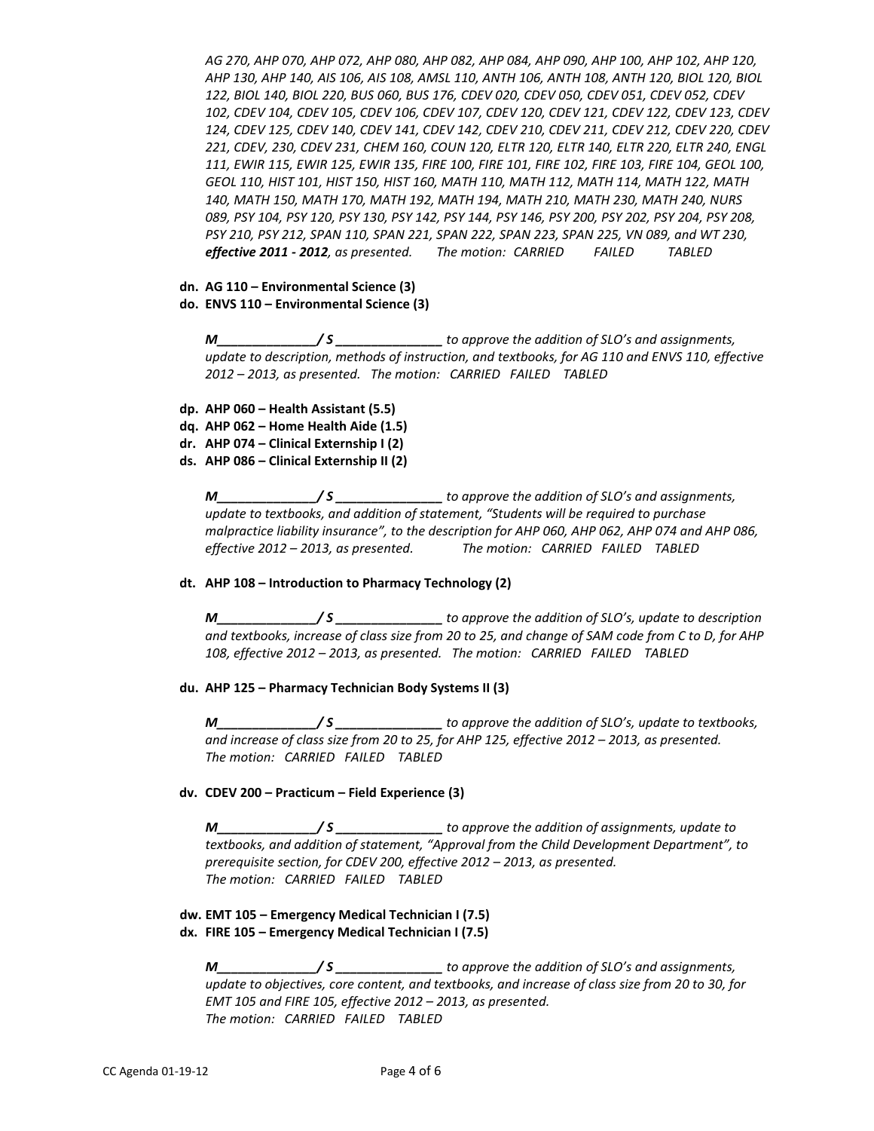*AG 270, AHP 070, AHP 072, AHP 080, AHP 082, AHP 084, AHP 090, AHP 100, AHP 102, AHP 120, AHP 130, AHP 140, AIS 106, AIS 108, AMSL 110, ANTH 106, ANTH 108, ANTH 120, BIOL 120, BIOL 122, BIOL 140, BIOL 220, BUS 060, BUS 176, CDEV 020, CDEV 050, CDEV 051, CDEV 052, CDEV 102, CDEV 104, CDEV 105, CDEV 106, CDEV 107, CDEV 120, CDEV 121, CDEV 122, CDEV 123, CDEV 124, CDEV 125, CDEV 140, CDEV 141, CDEV 142, CDEV 210, CDEV 211, CDEV 212, CDEV 220, CDEV 221, CDEV, 230, CDEV 231, CHEM 160, COUN 120, ELTR 120, ELTR 140, ELTR 220, ELTR 240, ENGL 111, EWIR 115, EWIR 125, EWIR 135, FIRE 100, FIRE 101, FIRE 102, FIRE 103, FIRE 104, GEOL 100, GEOL 110, HIST 101, HIST 150, HIST 160, MATH 110, MATH 112, MATH 114, MATH 122, MATH 140, MATH 150, MATH 170, MATH 192, MATH 194, MATH 210, MATH 230, MATH 240, NURS 089, PSY 104, PSY 120, PSY 130, PSY 142, PSY 144, PSY 146, PSY 200, PSY 202, PSY 204, PSY 208, PSY 210, PSY 212, SPAN 110, SPAN 221, SPAN 222, SPAN 223, SPAN 225, VN 089, and WT 230, effective 2011 - 2012, as presented. The motion: CARRIED FAILED TABLED*

- **dn. AG 110 – Environmental Science (3)**
- **do. ENVS 110 – Environmental Science (3)**

*M\_\_\_\_\_\_\_\_\_\_\_\_\_\_/ S \_\_\_\_\_\_\_\_\_\_\_\_\_\_\_ to approve the addition of SLO's and assignments, update to description, methods of instruction, and textbooks, for AG 110 and ENVS 110, effective 2012 – 2013, as presented. The motion: CARRIED FAILED TABLED*

- **dp. AHP 060 – Health Assistant (5.5)**
- **dq. AHP 062 – Home Health Aide (1.5)**
- **dr. AHP 074 – Clinical Externship I (2)**
- **ds. AHP 086 – Clinical Externship II (2)**

*M\_\_\_\_\_\_\_\_\_\_\_\_\_\_/ S \_\_\_\_\_\_\_\_\_\_\_\_\_\_\_ to approve the addition of SLO's and assignments, update to textbooks, and addition of statement, "Students will be required to purchase malpractice liability insurance", to the description for AHP 060, AHP 062, AHP 074 and AHP 086, effective 2012 – 2013, as presented. The motion: CARRIED FAILED TABLED*

#### **dt. AHP 108 – Introduction to Pharmacy Technology (2)**

*M\_\_\_\_\_\_\_\_\_\_\_\_\_\_/ S \_\_\_\_\_\_\_\_\_\_\_\_\_\_\_ to approve the addition of SLO's, update to description and textbooks, increase of class size from 20 to 25, and change of SAM code from C to D, for AHP 108, effective 2012 – 2013, as presented. The motion: CARRIED FAILED TABLED*

#### **du. AHP 125 – Pharmacy Technician Body Systems II (3)**

*M\_\_\_\_\_\_\_\_\_\_\_\_\_\_/ S \_\_\_\_\_\_\_\_\_\_\_\_\_\_\_ to approve the addition of SLO's, update to textbooks, and increase of class size from 20 to 25, for AHP 125, effective 2012 – 2013, as presented. The motion: CARRIED FAILED TABLED*

#### **dv. CDEV 200 – Practicum – Field Experience (3)**

*M\_\_\_\_\_\_\_\_\_\_\_\_\_\_/ S \_\_\_\_\_\_\_\_\_\_\_\_\_\_\_ to approve the addition of assignments, update to textbooks, and addition of statement, "Approval from the Child Development Department", to prerequisite section, for CDEV 200, effective 2012 – 2013, as presented. The motion: CARRIED FAILED TABLED*

## **dw. EMT 105 – Emergency Medical Technician I (7.5) dx. FIRE 105 – Emergency Medical Technician I (7.5)**

*M\_\_\_\_\_\_\_\_\_\_\_\_\_\_/ S \_\_\_\_\_\_\_\_\_\_\_\_\_\_\_ to approve the addition of SLO's and assignments, update to objectives, core content, and textbooks, and increase of class size from 20 to 30, for EMT 105 and FIRE 105, effective 2012 – 2013, as presented. The motion: CARRIED FAILED TABLED*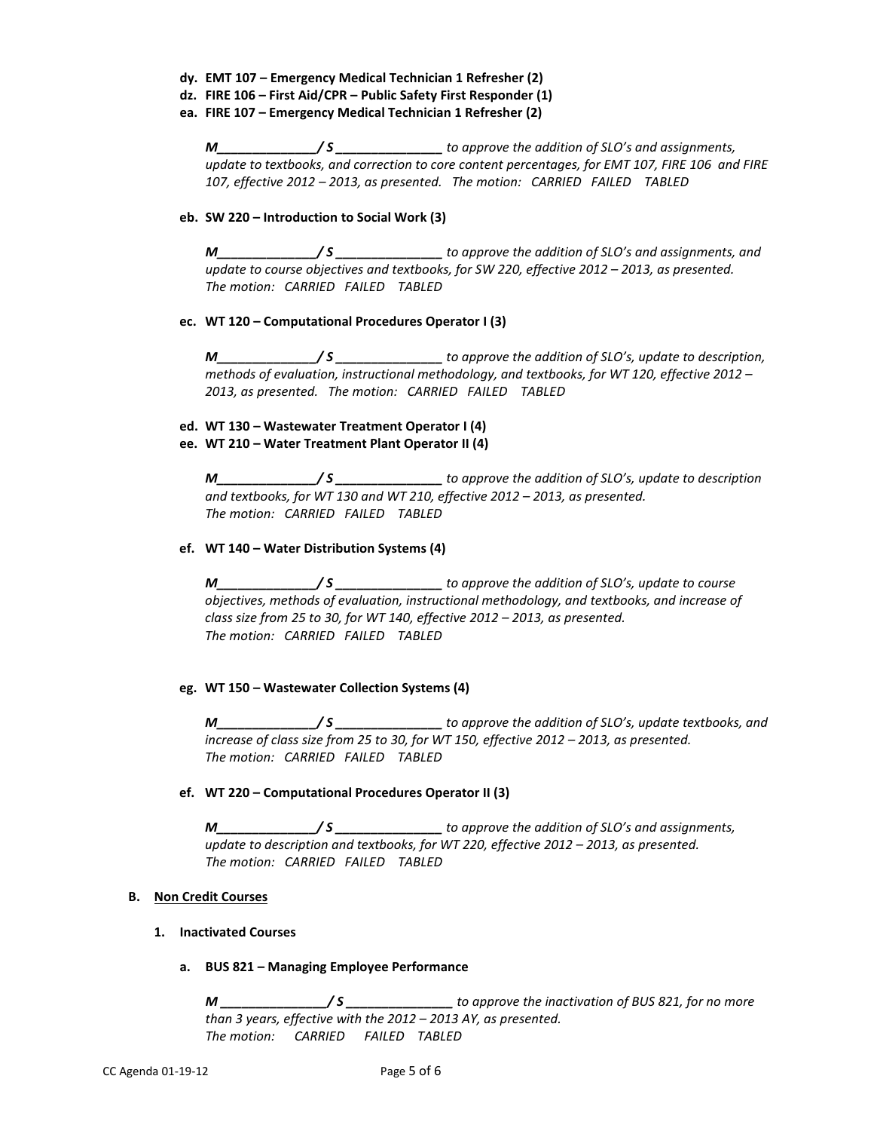- **dy. EMT 107 – Emergency Medical Technician 1 Refresher (2)**
- **dz. FIRE 106 – First Aid/CPR – Public Safety First Responder (1)**
- **ea. FIRE 107 – Emergency Medical Technician 1 Refresher (2)**

*M\_\_\_\_\_\_\_\_\_\_\_\_\_\_/ S \_\_\_\_\_\_\_\_\_\_\_\_\_\_\_ to approve the addition of SLO's and assignments, update to textbooks, and correction to core content percentages, for EMT 107, FIRE 106 and FIRE 107, effective 2012 – 2013, as presented. The motion: CARRIED FAILED TABLED*

## **eb. SW 220 – Introduction to Social Work (3)**

*M\_\_\_\_\_\_\_\_\_\_\_\_\_\_/ S \_\_\_\_\_\_\_\_\_\_\_\_\_\_\_ to approve the addition of SLO's and assignments, and update to course objectives and textbooks, for SW 220, effective 2012 – 2013, as presented. The motion: CARRIED FAILED TABLED*

## **ec. WT 120 – Computational Procedures Operator I (3)**

*M\_\_\_\_\_\_\_\_\_\_\_\_\_\_/ S \_\_\_\_\_\_\_\_\_\_\_\_\_\_\_ to approve the addition of SLO's, update to description, methods of evaluation, instructional methodology, and textbooks, for WT 120, effective 2012 – 2013, as presented. The motion: CARRIED FAILED TABLED*

## **ed. WT 130 – Wastewater Treatment Operator I (4)**

**ee. WT 210 – Water Treatment Plant Operator II (4)**

*M\_\_\_\_\_\_\_\_\_\_\_\_\_\_/ S \_\_\_\_\_\_\_\_\_\_\_\_\_\_\_ to approve the addition of SLO's, update to description and textbooks, for WT 130 and WT 210, effective 2012 – 2013, as presented. The motion: CARRIED FAILED TABLED*

## **ef. WT 140 – Water Distribution Systems (4)**

*M\_\_\_\_\_\_\_\_\_\_\_\_\_\_/ S \_\_\_\_\_\_\_\_\_\_\_\_\_\_\_ to approve the addition of SLO's, update to course objectives, methods of evaluation, instructional methodology, and textbooks, and increase of class size from 25 to 30, for WT 140, effective 2012 – 2013, as presented. The motion: CARRIED FAILED TABLED*

## **eg. WT 150 – Wastewater Collection Systems (4)**

*M\_\_\_\_\_\_\_\_\_\_\_\_\_\_/ S \_\_\_\_\_\_\_\_\_\_\_\_\_\_\_ to approve the addition of SLO's, update textbooks, and increase of class size from 25 to 30, for WT 150, effective 2012 – 2013, as presented. The motion: CARRIED FAILED TABLED*

## **ef. WT 220 – Computational Procedures Operator II (3)**

*M\_\_\_\_\_\_\_\_\_\_\_\_\_\_/ S \_\_\_\_\_\_\_\_\_\_\_\_\_\_\_ to approve the addition of SLO's and assignments, update to description and textbooks, for WT 220, effective 2012 – 2013, as presented. The motion: CARRIED FAILED TABLED*

## **B. Non Credit Courses**

## **1. Inactivated Courses**

## **a. BUS 821 – Managing Employee Performance**

*M \_\_\_\_\_\_\_\_\_\_\_\_\_\_\_/ S \_\_\_\_\_\_\_\_\_\_\_\_\_\_\_ to approve the inactivation of BUS 821, for no more than 3 years, effective with the 2012 – 2013 AY, as presented. The motion: CARRIED FAILED TABLED*